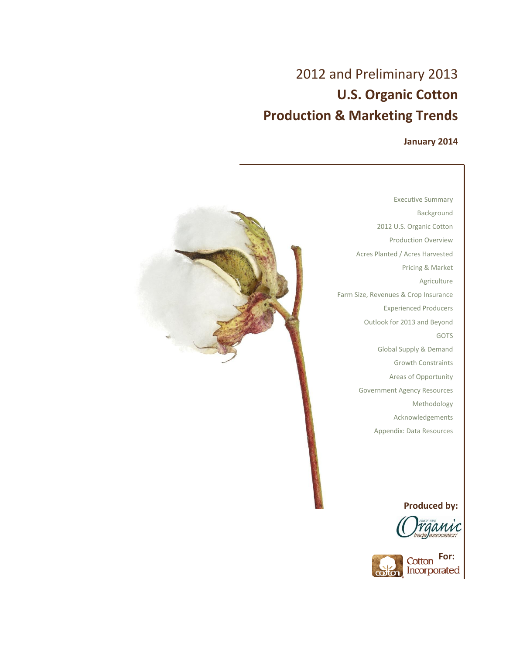## **January 2014**



Executive Summary Background 2012 U.S. Organic Cotton Production Overview Acres Planted / Acres Harvested Pricing & Market Agriculture Farm Size, Revenues & Crop Insurance Experienced Producers Outlook for 2013 and Beyond GOTS Global Supply & Demand Growth Constraints Areas of Opportunity Government Agency Resources Methodology Acknowledgements Appendix: Data Resources

## **Produced by:**



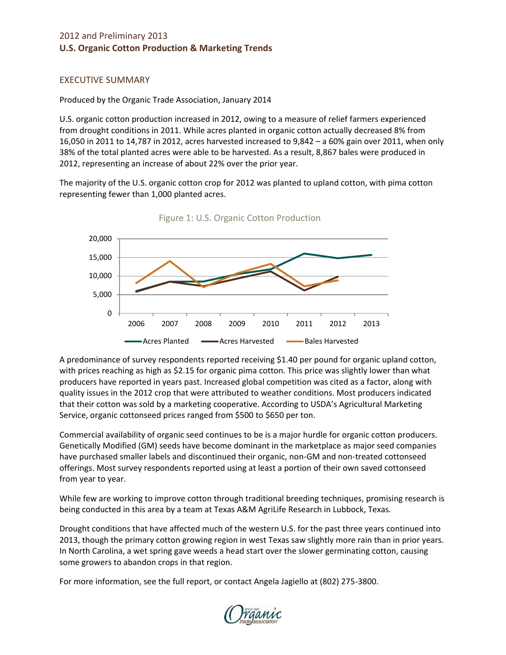## EXECUTIVE SUMMARY

Produced by the Organic Trade Association, January 2014

U.S. organic cotton production increased in 2012, owing to a measure of relief farmers experienced from drought conditions in 2011. While acres planted in organic cotton actually decreased 8% from 16,050 in 2011 to 14,787 in 2012, acres harvested increased to 9,842 – a 60% gain over 2011, when only 38% of the total planted acres were able to be harvested. As a result, 8,867 bales were produced in 2012, representing an increase of about 22% over the prior year.

The majority of the U.S. organic cotton crop for 2012 was planted to upland cotton, with pima cotton representing fewer than 1,000 planted acres.



Figure 1: U.S. Organic Cotton Production

A predominance of survey respondents reported receiving \$1.40 per pound for organic upland cotton, with prices reaching as high as \$2.15 for organic pima cotton. This price was slightly lower than what producers have reported in years past. Increased global competition was cited as a factor, along with quality issues in the 2012 crop that were attributed to weather conditions. Most producers indicated that their cotton was sold by a marketing cooperative. According to USDA's Agricultural Marketing Service, organic cottonseed prices ranged from \$500 to \$650 per ton.

Commercial availability of organic seed continues to be is a major hurdle for organic cotton producers. Genetically Modified (GM) seeds have become dominant in the marketplace as major seed companies have purchased smaller labels and discontinued their organic, non-GM and non-treated cottonseed offerings. Most survey respondents reported using at least a portion of their own saved cottonseed from year to year.

While few are working to improve cotton through traditional breeding techniques, promising research is being conducted in this area by a team at Texas A&M AgriLife Research in Lubbock, Texas.

Drought conditions that have affected much of the western U.S. for the past three years continued into 2013, though the primary cotton growing region in west Texas saw slightly more rain than in prior years. In North Carolina, a wet spring gave weeds a head start over the slower germinating cotton, causing some growers to abandon crops in that region.

For more information, see the full report, or contact Angela Jagiello at (802) 275-3800.

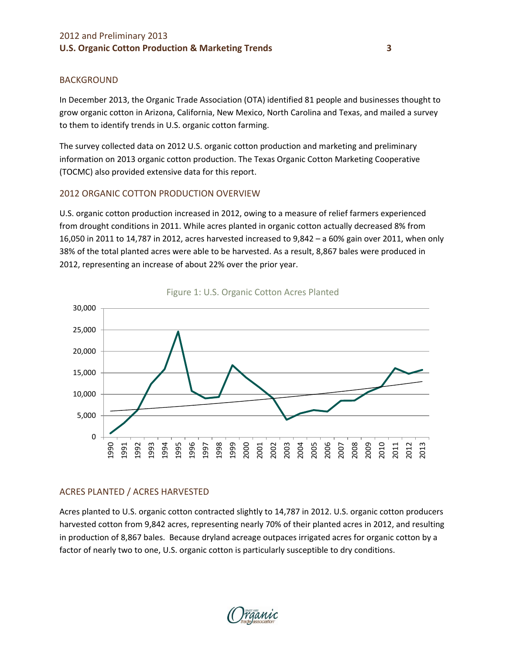#### BACKGROUND

In December 2013, the Organic Trade Association (OTA) identified 81 people and businesses thought to grow organic cotton in Arizona, California, New Mexico, North Carolina and Texas, and mailed a survey to them to identify trends in U.S. organic cotton farming.

The survey collected data on 2012 U.S. organic cotton production and marketing and preliminary information on 2013 organic cotton production. The Texas Organic Cotton Marketing Cooperative (TOCMC) also provided extensive data for this report.

## 2012 ORGANIC COTTON PRODUCTION OVERVIEW

U.S. organic cotton production increased in 2012, owing to a measure of relief farmers experienced from drought conditions in 2011. While acres planted in organic cotton actually decreased 8% from 16,050 in 2011 to 14,787 in 2012, acres harvested increased to 9,842 – a 60% gain over 2011, when only 38% of the total planted acres were able to be harvested. As a result, 8,867 bales were produced in 2012, representing an increase of about 22% over the prior year.





## ACRES PLANTED / ACRES HARVESTED

Acres planted to U.S. organic cotton contracted slightly to 14,787 in 2012. U.S. organic cotton producers harvested cotton from 9,842 acres, representing nearly 70% of their planted acres in 2012, and resulting in production of 8,867 bales. Because dryland acreage outpaces irrigated acres for organic cotton by a factor of nearly two to one, U.S. organic cotton is particularly susceptible to dry conditions.

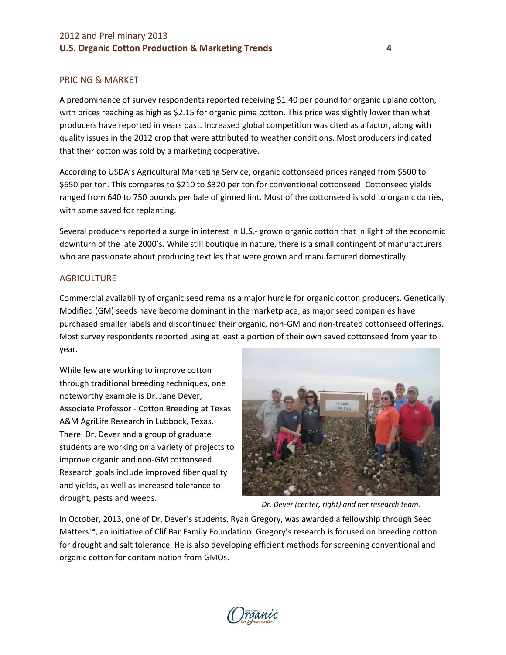#### PRICING & MARKET

A predominance of survey respondents reported receiving \$1.40 per pound for organic upland cotton, with prices reaching as high as \$2.15 for organic pima cotton. This price was slightly lower than what producers have reported in years past. Increased global competition was cited as a factor, along with quality issues in the 2012 crop that were attributed to weather conditions. Most producers indicated that their cotton was sold by a marketing cooperative.

According to USDA's Agricultural Marketing Service, organic cottonseed prices ranged from \$500 to \$650 per ton. This compares to \$210 to \$320 per ton for conventional cottonseed. Cottonseed yields ranged from 640 to 750 pounds per bale of ginned lint. Most of the cottonseed is sold to organic dairies, with some saved for replanting.

Several producers reported a surge in interest in U.S.- grown organic cotton that in light of the economic downturn of the late 2000's. While still boutique in nature, there is a small contingent of manufacturers who are passionate about producing textiles that were grown and manufactured domestically.

#### **AGRICULTURE**

Commercial availability of organic seed remains a major hurdle for organic cotton producers. Genetically Modified (GM) seeds have become dominant in the marketplace, as major seed companies have purchased smaller labels and discontinued their organic, non-GM and non-treated cottonseed offerings. Most survey respondents reported using at least a portion of their own saved cottonseed from year to year.

While few are working to improve cotton through traditional breeding techniques, one noteworthy example is Dr. Jane Dever, Associate Professor - Cotton Breeding at Texas A&M AgriLife Research in Lubbock, Texas. There, Dr. Dever and a group of graduate students are working on a variety of projects to improve organic and non-GM cottonseed. Research goals include improved fiber quality and yields, as well as increased tolerance to drought, pests and weeds.



*Dr. Dever (center, right) and her research team.*

In October, 2013, one of Dr. Dever's students, Ryan Gregory, was awarded a fellowship through Seed Matters™, an initiative of Clif Bar Family Foundation. Gregory's research is focused on breeding cotton for drought and salt tolerance. He is also developing efficient methods for screening conventional and organic cotton for contamination from GMOs.

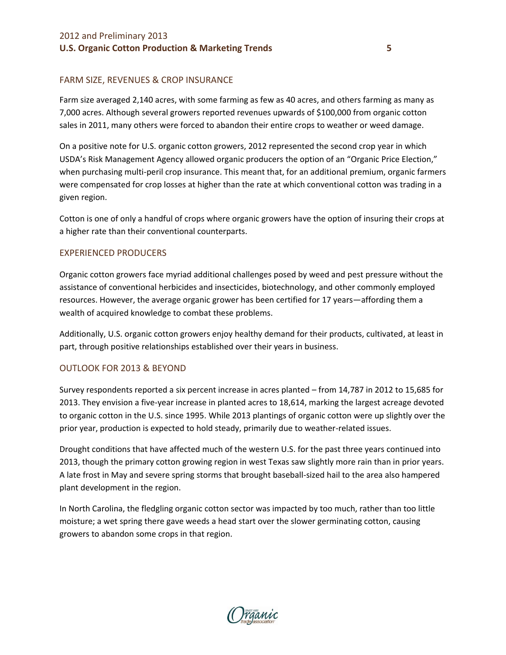#### FARM SIZE, REVENUES & CROP INSURANCE

Farm size averaged 2,140 acres, with some farming as few as 40 acres, and others farming as many as 7,000 acres. Although several growers reported revenues upwards of \$100,000 from organic cotton sales in 2011, many others were forced to abandon their entire crops to weather or weed damage.

On a positive note for U.S. organic cotton growers, 2012 represented the second crop year in which USDA's Risk Management Agency allowed organic producers the option of an "Organic Price Election," when purchasing multi-peril crop insurance. This meant that, for an additional premium, organic farmers were compensated for crop losses at higher than the rate at which conventional cotton was trading in a given region.

Cotton is one of only a handful of crops where organic growers have the option of insuring their crops at a higher rate than their conventional counterparts.

#### EXPERIENCED PRODUCERS

Organic cotton growers face myriad additional challenges posed by weed and pest pressure without the assistance of conventional herbicides and insecticides, biotechnology, and other commonly employed resources. However, the average organic grower has been certified for 17 years—affording them a wealth of acquired knowledge to combat these problems.

Additionally, U.S. organic cotton growers enjoy healthy demand for their products, cultivated, at least in part, through positive relationships established over their years in business.

#### OUTLOOK FOR 2013 & BEYOND

Survey respondents reported a six percent increase in acres planted – from 14,787 in 2012 to 15,685 for 2013. They envision a five-year increase in planted acres to 18,614, marking the largest acreage devoted to organic cotton in the U.S. since 1995. While 2013 plantings of organic cotton were up slightly over the prior year, production is expected to hold steady, primarily due to weather-related issues.

Drought conditions that have affected much of the western U.S. for the past three years continued into 2013, though the primary cotton growing region in west Texas saw slightly more rain than in prior years. A late frost in May and severe spring storms that brought baseball-sized hail to the area also hampered plant development in the region.

In North Carolina, the fledgling organic cotton sector was impacted by too much, rather than too little moisture; a wet spring there gave weeds a head start over the slower germinating cotton, causing growers to abandon some crops in that region.

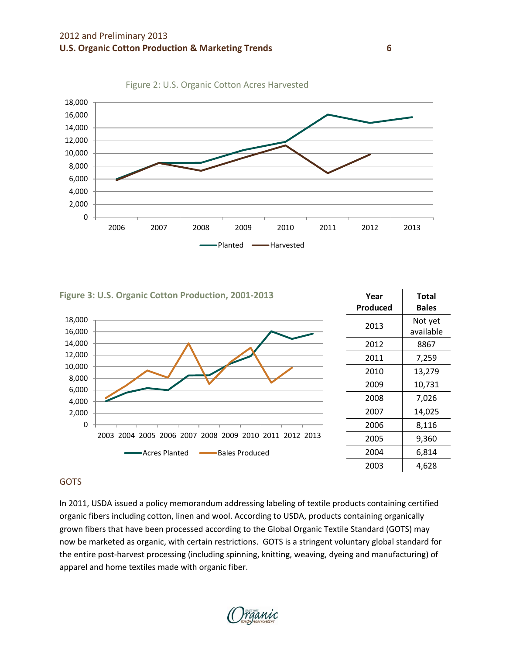





#### GOTS

In 2011, USDA issued a policy memorandum addressing labeling of textile products containing certified organic fibers including cotton, linen and wool. According to USDA, products containing organically grown fibers that have been processed according to the Global Organic Textile Standard (GOTS) may now be marketed as organic, with certain restrictions. GOTS is a stringent voluntary global standard for the entire post-harvest processing (including spinning, knitting, weaving, dyeing and manufacturing) of apparel and home textiles made with organic fiber.

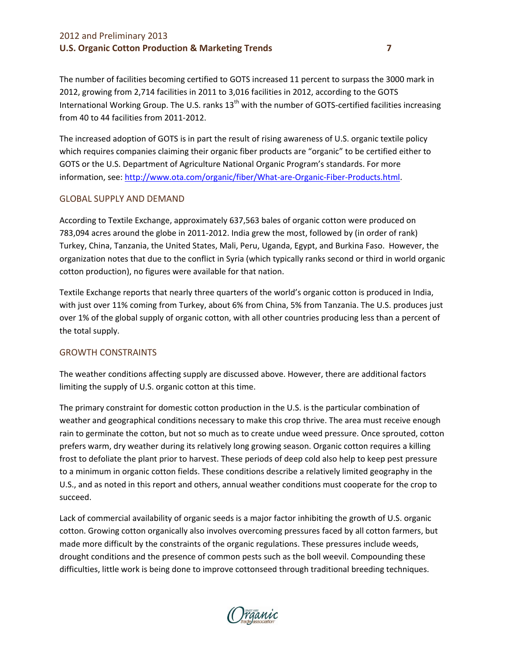The number of facilities becoming certified to GOTS increased 11 percent to surpass the 3000 mark in 2012, growing from 2,714 facilities in 2011 to 3,016 facilities in 2012, according to the GOTS International Working Group. The U.S. ranks 13<sup>th</sup> with the number of GOTS-certified facilities increasing from 40 to 44 facilities from 2011-2012.

The increased adoption of GOTS is in part the result of rising awareness of U.S. organic textile policy which requires companies claiming their organic fiber products are "organic" to be certified either to GOTS or the U.S. Department of Agriculture National Organic Program's standards. For more information, see: [http://www.ota.com/organic/fiber/What-are-Organic-Fiber-Products.html.](http://www.ota.com/organic/fiber/What-are-Organic-Fiber-Products.html)

#### GLOBAL SUPPLY AND DEMAND

According to Textile Exchange, approximately 637,563 bales of organic cotton were produced on 783,094 acres around the globe in 2011-2012. India grew the most, followed by (in order of rank) Turkey, China, Tanzania, the United States, Mali, Peru, Uganda, Egypt, and Burkina Faso. However, the organization notes that due to the conflict in Syria (which typically ranks second or third in world organic cotton production), no figures were available for that nation.

Textile Exchange reports that nearly three quarters of the world's organic cotton is produced in India, with just over 11% coming from Turkey, about 6% from China, 5% from Tanzania. The U.S. produces just over 1% of the global supply of organic cotton, with all other countries producing less than a percent of the total supply.

#### GROWTH CONSTRAINTS

The weather conditions affecting supply are discussed above. However, there are additional factors limiting the supply of U.S. organic cotton at this time.

The primary constraint for domestic cotton production in the U.S. is the particular combination of weather and geographical conditions necessary to make this crop thrive. The area must receive enough rain to germinate the cotton, but not so much as to create undue weed pressure. Once sprouted, cotton prefers warm, dry weather during its relatively long growing season. Organic cotton requires a killing frost to defoliate the plant prior to harvest. These periods of deep cold also help to keep pest pressure to a minimum in organic cotton fields. These conditions describe a relatively limited geography in the U.S., and as noted in this report and others, annual weather conditions must cooperate for the crop to succeed.

Lack of commercial availability of organic seeds is a major factor inhibiting the growth of U.S. organic cotton. Growing cotton organically also involves overcoming pressures faced by all cotton farmers, but made more difficult by the constraints of the organic regulations. These pressures include weeds, drought conditions and the presence of common pests such as the boll weevil. Compounding these difficulties, little work is being done to improve cottonseed through traditional breeding techniques.

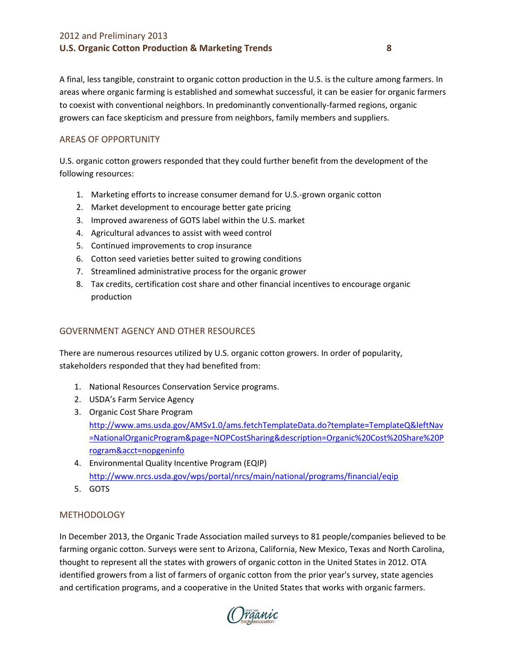A final, less tangible, constraint to organic cotton production in the U.S. is the culture among farmers. In areas where organic farming is established and somewhat successful, it can be easier for organic farmers to coexist with conventional neighbors. In predominantly conventionally-farmed regions, organic growers can face skepticism and pressure from neighbors, family members and suppliers.

## AREAS OF OPPORTUNITY

U.S. organic cotton growers responded that they could further benefit from the development of the following resources:

- 1. Marketing efforts to increase consumer demand for U.S.-grown organic cotton
- 2. Market development to encourage better gate pricing
- 3. Improved awareness of GOTS label within the U.S. market
- 4. Agricultural advances to assist with weed control
- 5. Continued improvements to crop insurance
- 6. Cotton seed varieties better suited to growing conditions
- 7. Streamlined administrative process for the organic grower
- 8. Tax credits, certification cost share and other financial incentives to encourage organic production

## GOVERNMENT AGENCY AND OTHER RESOURCES

There are numerous resources utilized by U.S. organic cotton growers. In order of popularity, stakeholders responded that they had benefited from:

- 1. National Resources Conservation Service programs.
- 2. USDA's Farm Service Agency
- 3. Organic Cost Share Program [http://www.ams.usda.gov/AMSv1.0/ams.fetchTemplateData.do?template=TemplateQ&leftNav](http://www.ams.usda.gov/AMSv1.0/ams.fetchTemplateData.do?template=TemplateQ&leftNav=NationalOrganicProgram&page=NOPCostSharing&description=Organic%20Cost%20Share%20Program&acct=nopgeninfo) [=NationalOrganicProgram&page=NOPCostSharing&description=Organic%20Cost%20Share%20P](http://www.ams.usda.gov/AMSv1.0/ams.fetchTemplateData.do?template=TemplateQ&leftNav=NationalOrganicProgram&page=NOPCostSharing&description=Organic%20Cost%20Share%20Program&acct=nopgeninfo) [rogram&acct=nopgeninfo](http://www.ams.usda.gov/AMSv1.0/ams.fetchTemplateData.do?template=TemplateQ&leftNav=NationalOrganicProgram&page=NOPCostSharing&description=Organic%20Cost%20Share%20Program&acct=nopgeninfo)
- 4. Environmental Quality Incentive Program (EQIP) <http://www.nrcs.usda.gov/wps/portal/nrcs/main/national/programs/financial/eqip>
- 5. GOTS

## **METHODOLOGY**

In December 2013, the Organic Trade Association mailed surveys to 81 people/companies believed to be farming organic cotton. Surveys were sent to Arizona, California, New Mexico, Texas and North Carolina, thought to represent all the states with growers of organic cotton in the United States in 2012. OTA identified growers from a list of farmers of organic cotton from the prior year's survey, state agencies and certification programs, and a cooperative in the United States that works with organic farmers.

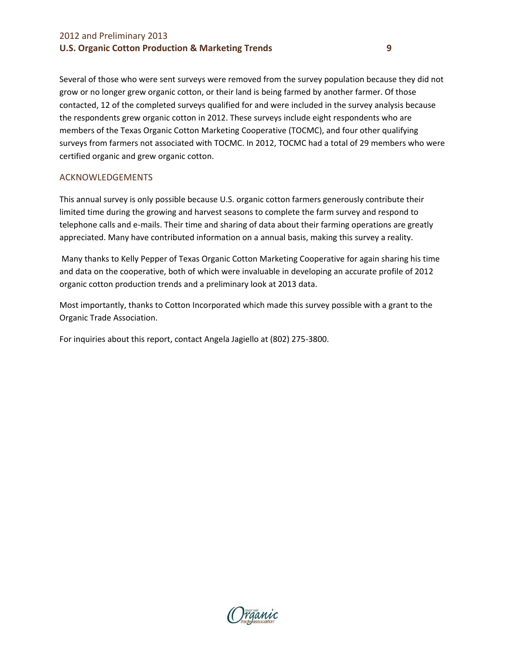Several of those who were sent surveys were removed from the survey population because they did not grow or no longer grew organic cotton, or their land is being farmed by another farmer. Of those contacted, 12 of the completed surveys qualified for and were included in the survey analysis because the respondents grew organic cotton in 2012. These surveys include eight respondents who are members of the Texas Organic Cotton Marketing Cooperative (TOCMC), and four other qualifying surveys from farmers not associated with TOCMC. In 2012, TOCMC had a total of 29 members who were certified organic and grew organic cotton.

#### ACKNOWLEDGEMENTS

This annual survey is only possible because U.S. organic cotton farmers generously contribute their limited time during the growing and harvest seasons to complete the farm survey and respond to telephone calls and e-mails. Their time and sharing of data about their farming operations are greatly appreciated. Many have contributed information on a annual basis, making this survey a reality.

Many thanks to Kelly Pepper of Texas Organic Cotton Marketing Cooperative for again sharing his time and data on the cooperative, both of which were invaluable in developing an accurate profile of 2012 organic cotton production trends and a preliminary look at 2013 data.

Most importantly, thanks to Cotton Incorporated which made this survey possible with a grant to the Organic Trade Association.

For inquiries about this report, contact Angela Jagiello at (802) 275-3800.

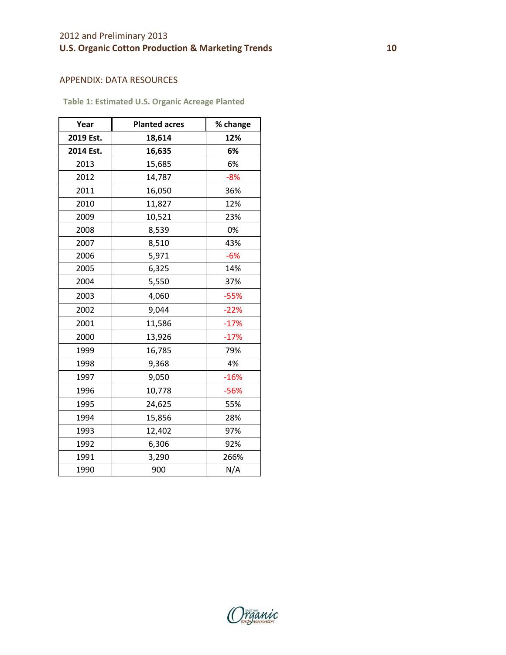#### APPENDIX: DATA RESOURCES

**Table 1: Estimated U.S. Organic Acreage Planted** 

| Year      | <b>Planted acres</b> | % change |
|-----------|----------------------|----------|
| 2019 Est. | 18,614               | 12%      |
| 2014 Est. | 16,635               | 6%       |
| 2013      | 15,685               | 6%       |
| 2012      | 14,787               | $-8%$    |
| 2011      | 16,050               | 36%      |
| 2010      | 11,827               | 12%      |
| 2009      | 10,521               | 23%      |
| 2008      | 8,539                | 0%       |
| 2007      | 8,510                | 43%      |
| 2006      | 5,971                | $-6%$    |
| 2005      | 6,325                | 14%      |
| 2004      | 5,550                | 37%      |
| 2003      | 4,060                | $-55%$   |
| 2002      | 9,044                | $-22%$   |
| 2001      | 11,586               | $-17%$   |
| 2000      | 13,926               | $-17%$   |
| 1999      | 16,785               | 79%      |
| 1998      | 9,368                | 4%       |
| 1997      | 9,050                | $-16%$   |
| 1996      | 10,778               | $-56%$   |
| 1995      | 24,625               | 55%      |
| 1994      | 15,856               | 28%      |
| 1993      | 12,402               | 97%      |
| 1992      | 6,306                | 92%      |
| 1991      | 3,290                | 266%     |
| 1990      | 900                  | N/A      |